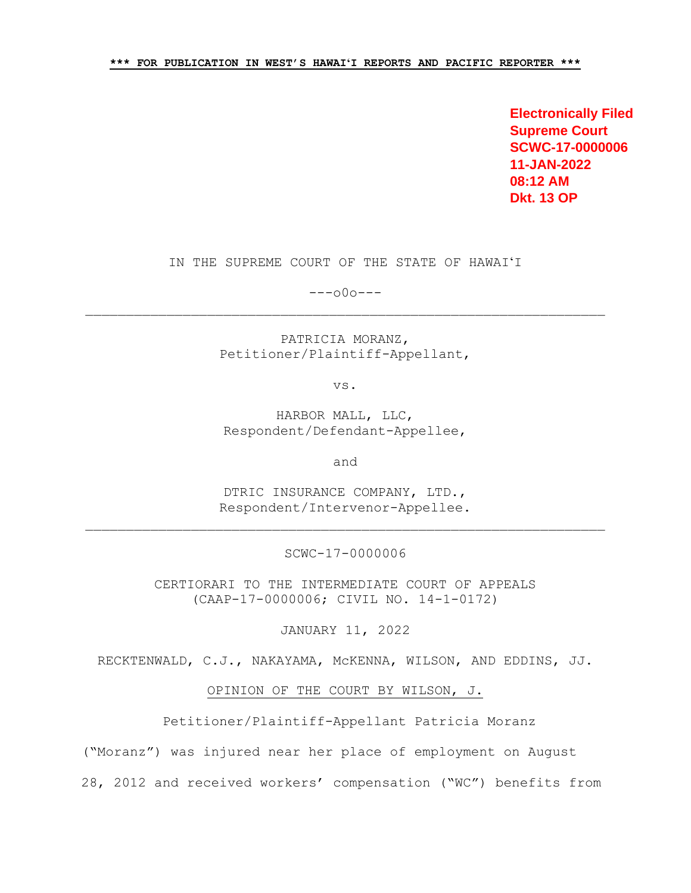**Electronically Filed Supreme Court SCWC-17-0000006 11-JAN-2022 08:12 AM Dkt. 13 OP**

IN THE SUPREME COURT OF THE STATE OF HAWAIʻI

---o0o---

PATRICIA MORANZ, Petitioner/Plaintiff-Appellant,

vs.

HARBOR MALL, LLC, Respondent/Defendant-Appellee,

and

DTRIC INSURANCE COMPANY, LTD., Respondent/Intervenor-Appellee.

SCWC-17-0000006

CERTIORARI TO THE INTERMEDIATE COURT OF APPEALS (CAAP-17-0000006; CIVIL NO. 14-1-0172)

JANUARY 11, 2022

RECKTENWALD, C.J., NAKAYAMA, McKENNA, WILSON, AND EDDINS, JJ.

OPINION OF THE COURT BY WILSON, J.

Petitioner/Plaintiff-Appellant Patricia Moranz

("Moranz") was injured near her place of employment on August

28, 2012 and received workers' compensation ("WC") benefits from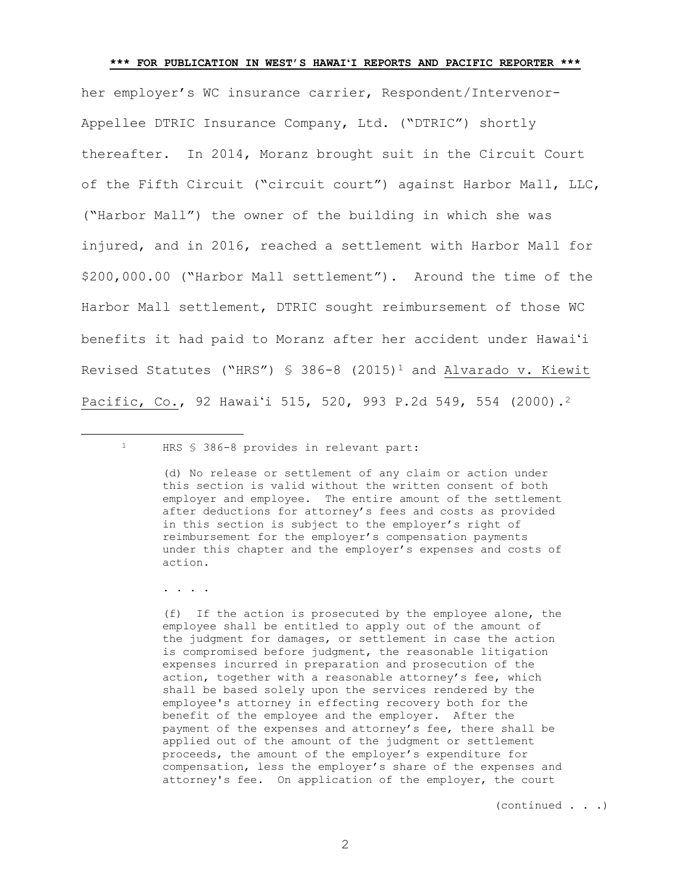her employer's WC insurance carrier, Respondent/Intervenor-Appellee DTRIC Insurance Company, Ltd. ("DTRIC") shortly thereafter. In 2014, Moranz brought suit in the Circuit Court of the Fifth Circuit ("circuit court") against Harbor Mall, LLC, ("Harbor Mall") the owner of the building in which she was injured, and in 2016, reached a settlement with Harbor Mall for \$200,000.00 ("Harbor Mall settlement"). Around the time of the Harbor Mall settlement, DTRIC sought reimbursement of those WC benefits it had paid to Moranz after her accident under Hawaiʻi Revised Statutes ("HRS") § 386-8 (2015)<sup>1</sup> and Alvarado v. Kiewit Pacific, Co., 92 Hawai'i 515, 520, 993 P.2d 549, 554 (2000).<sup>2</sup>

<sup>1</sup> HRS § 386-8 provides in relevant part:

. . . .

÷.

(f) If the action is prosecuted by the employee alone, the employee shall be entitled to apply out of the amount of the judgment for damages, or settlement in case the action is compromised before judgment, the reasonable litigation expenses incurred in preparation and prosecution of the action, together with a reasonable attorney's fee, which shall be based solely upon the services rendered by the employee's attorney in effecting recovery both for the benefit of the employee and the employer. After the payment of the expenses and attorney's fee, there shall be applied out of the amount of the judgment or settlement proceeds, the amount of the employer's expenditure for compensation, less the employer's share of the expenses and attorney's fee. On application of the employer, the court

(continued . . .)

<span id="page-1-0"></span><sup>(</sup>d) No release or settlement of any claim or action under this section is valid without the written consent of both employer and employee. The entire amount of the settlement after deductions for attorney's fees and costs as provided in this section is subject to the employer's right of reimbursement for the employer's compensation payments under this chapter and the employer's expenses and costs of action.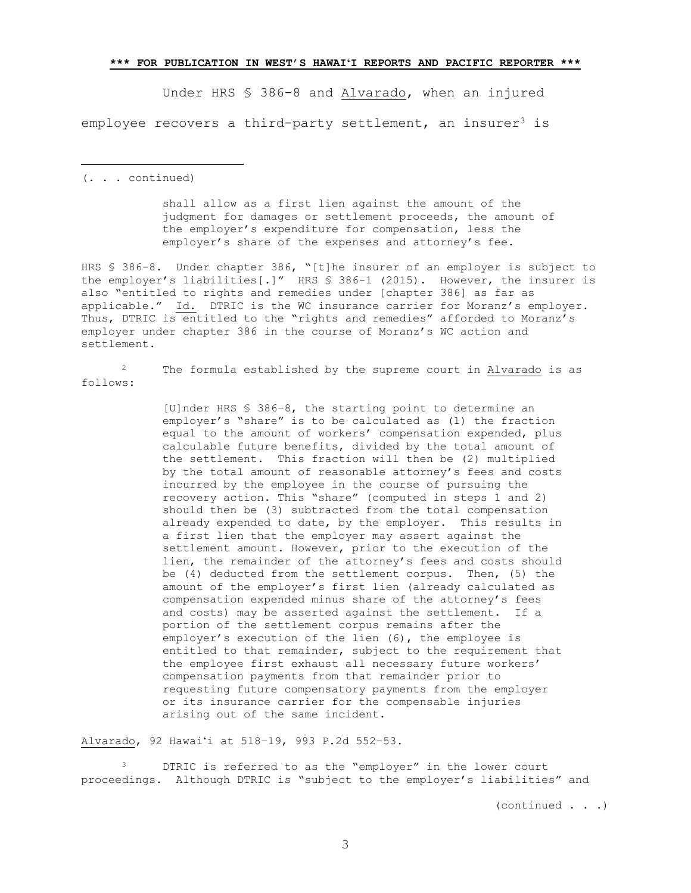Under HRS § 386-8 and Alvarado, when an injured employee recovers a third-party settlement, an insurer<sup>3</sup> is

(. . . continued)

÷.

shall allow as a first lien against the amount of the judgment for damages or settlement proceeds, the amount of the employer's expenditure for compensation, less the employer's share of the expenses and attorney's fee.

HRS § 386-8. Under chapter 386, "[t]he insurer of an employer is subject to the employer's liabilities[.]" HRS § 386-1 (2015). However, the insurer is also "entitled to rights and remedies under [chapter 386] as far as applicable." Id. DTRIC is the WC insurance carrier for Moranz's employer. Thus, DTRIC is entitled to the "rights and remedies" afforded to Moranz's employer under chapter 386 in the course of Moranz's WC action and settlement.

<sup>2</sup> The formula established by the supreme court in Alvarado is as follows:

> [U]nder HRS § 386–8, the starting point to determine an employer's "share" is to be calculated as (1) the fraction equal to the amount of workers' compensation expended, plus calculable future benefits, divided by the total amount of the settlement. This fraction will then be (2) multiplied by the total amount of reasonable attorney's fees and costs incurred by the employee in the course of pursuing the recovery action. This "share" (computed in steps 1 and 2) should then be (3) subtracted from the total compensation already expended to date, by the employer. This results in a first lien that the employer may assert against the settlement amount. However, prior to the execution of the lien, the remainder of the attorney's fees and costs should be (4) deducted from the settlement corpus. Then, (5) the amount of the employer's first lien (already calculated as compensation expended minus share of the attorney's fees and costs) may be asserted against the settlement. If a portion of the settlement corpus remains after the employer's execution of the lien (6), the employee is entitled to that remainder, subject to the requirement that the employee first exhaust all necessary future workers' compensation payments from that remainder prior to requesting future compensatory payments from the employer or its insurance carrier for the compensable injuries arising out of the same incident.

Alvarado, 92 Hawaiʻi at 518–19, 993 P.2d 552–53.

<sup>3</sup> DTRIC is referred to as the "employer" in the lower court proceedings. Although DTRIC is "subject to the employer's liabilities" and

(continued . . .)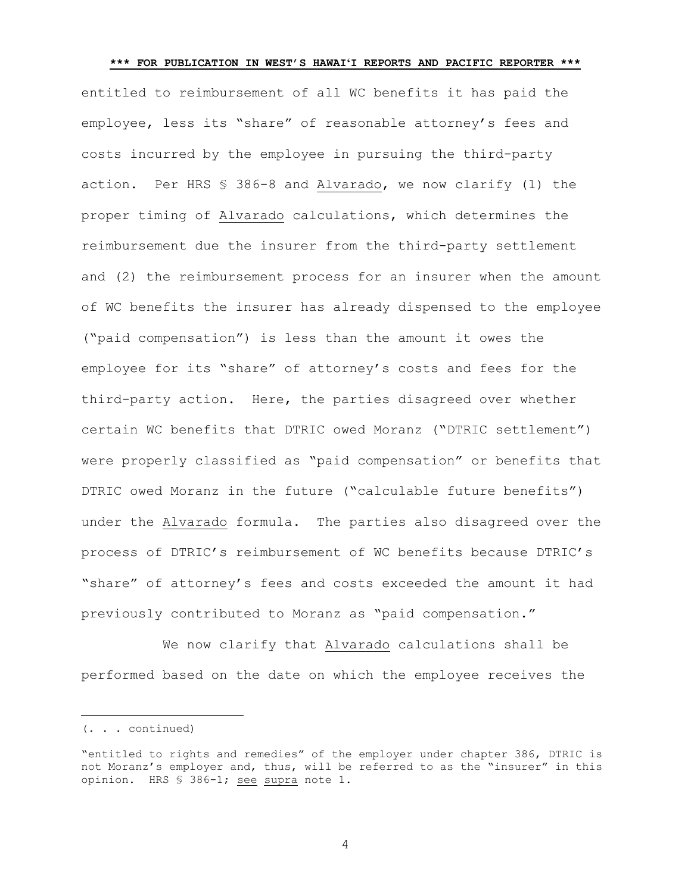**\*\*\* FOR PUBLICATION IN WEST'S HAWAIʻI REPORTS AND PACIFIC REPORTER \*\*\*** entitled to reimbursement of all WC benefits it has paid the employee, less its "share" of reasonable attorney's fees and costs incurred by the employee in pursuing the third-party action. Per HRS § 386-8 and Alvarado, we now clarify (1) the proper timing of Alvarado calculations, which determines the reimbursement due the insurer from the third-party settlement and (2) the reimbursement process for an insurer when the amount of WC benefits the insurer has already dispensed to the employee ("paid compensation") is less than the amount it owes the employee for its "share" of attorney's costs and fees for the third-party action. Here, the parties disagreed over whether certain WC benefits that DTRIC owed Moranz ("DTRIC settlement") were properly classified as "paid compensation" or benefits that DTRIC owed Moranz in the future ("calculable future benefits") under the Alvarado formula. The parties also disagreed over the process of DTRIC's reimbursement of WC benefits because DTRIC's "share" of attorney's fees and costs exceeded the amount it had previously contributed to Moranz as "paid compensation."

We now clarify that Alvarado calculations shall be performed based on the date on which the employee receives the

÷.

<sup>(. . .</sup> continued)

<sup>&</sup>quot;entitled to rights and remedies" of the employer under chapter 386, DTRIC is not Moranz's employer and, thus, will be referred to as the "insurer" in this opinion. HRS § 386-1; see supra note [1.](#page-1-0)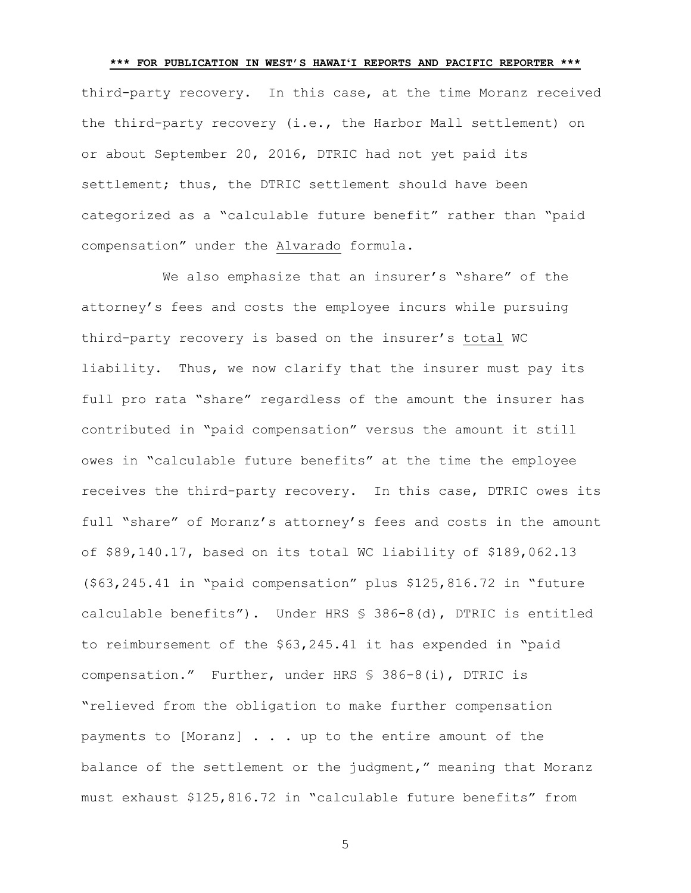**\*\*\* FOR PUBLICATION IN WEST'S HAWAIʻI REPORTS AND PACIFIC REPORTER \*\*\*** third-party recovery. In this case, at the time Moranz received the third-party recovery (i.e., the Harbor Mall settlement) on or about September 20, 2016, DTRIC had not yet paid its settlement; thus, the DTRIC settlement should have been categorized as a "calculable future benefit" rather than "paid compensation" under the Alvarado formula.

We also emphasize that an insurer's "share" of the attorney's fees and costs the employee incurs while pursuing third-party recovery is based on the insurer's total WC liability. Thus, we now clarify that the insurer must pay its full pro rata "share" regardless of the amount the insurer has contributed in "paid compensation" versus the amount it still owes in "calculable future benefits" at the time the employee receives the third-party recovery. In this case, DTRIC owes its full "share" of Moranz's attorney's fees and costs in the amount of \$89,140.17, based on its total WC liability of \$189,062.13 (\$63,245.41 in "paid compensation" plus \$125,816.72 in "future calculable benefits"). Under HRS § 386-8(d), DTRIC is entitled to reimbursement of the \$63,245.41 it has expended in "paid compensation." Further, under HRS § 386-8(i), DTRIC is "relieved from the obligation to make further compensation payments to [Moranz] . . . up to the entire amount of the balance of the settlement or the judgment," meaning that Moranz must exhaust \$125,816.72 in "calculable future benefits" from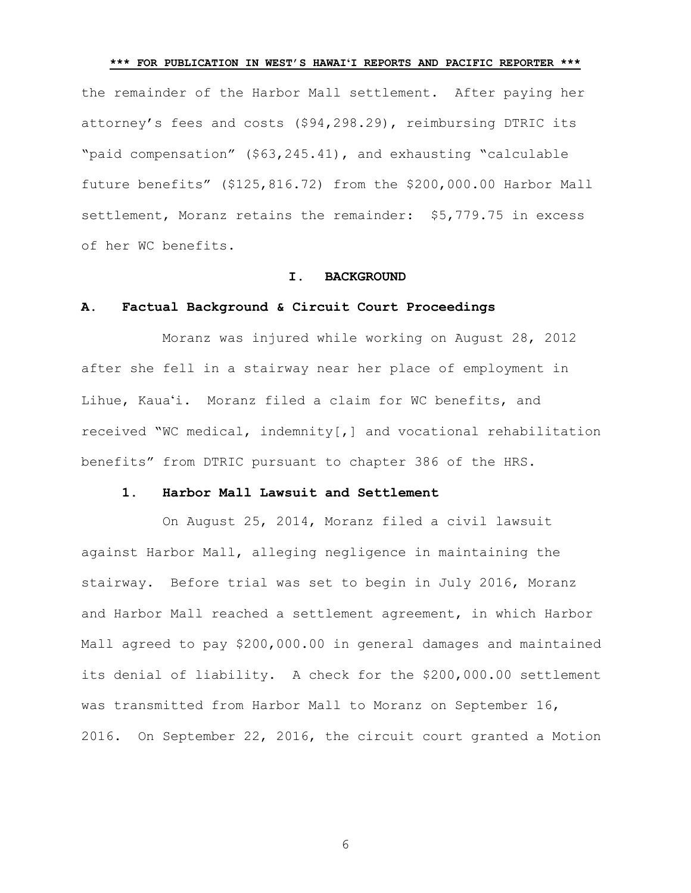**\*\*\* FOR PUBLICATION IN WEST'S HAWAIʻI REPORTS AND PACIFIC REPORTER \*\*\*** the remainder of the Harbor Mall settlement. After paying her attorney's fees and costs (\$94,298.29), reimbursing DTRIC its "paid compensation" (\$63,245.41), and exhausting "calculable future benefits" (\$125,816.72) from the \$200,000.00 Harbor Mall settlement, Moranz retains the remainder: \$5,779.75 in excess of her WC benefits.

#### **I. BACKGROUND**

#### **A. Factual Background & Circuit Court Proceedings**

Moranz was injured while working on August 28, 2012 after she fell in a stairway near her place of employment in Lihue, Kauaʻi. Moranz filed a claim for WC benefits, and received "WC medical, indemnity[,] and vocational rehabilitation benefits" from DTRIC pursuant to chapter 386 of the HRS.

# **1. Harbor Mall Lawsuit and Settlement**

On August 25, 2014, Moranz filed a civil lawsuit against Harbor Mall, alleging negligence in maintaining the stairway. Before trial was set to begin in July 2016, Moranz and Harbor Mall reached a settlement agreement, in which Harbor Mall agreed to pay \$200,000.00 in general damages and maintained its denial of liability. A check for the \$200,000.00 settlement was transmitted from Harbor Mall to Moranz on September 16, 2016. On September 22, 2016, the circuit court granted a Motion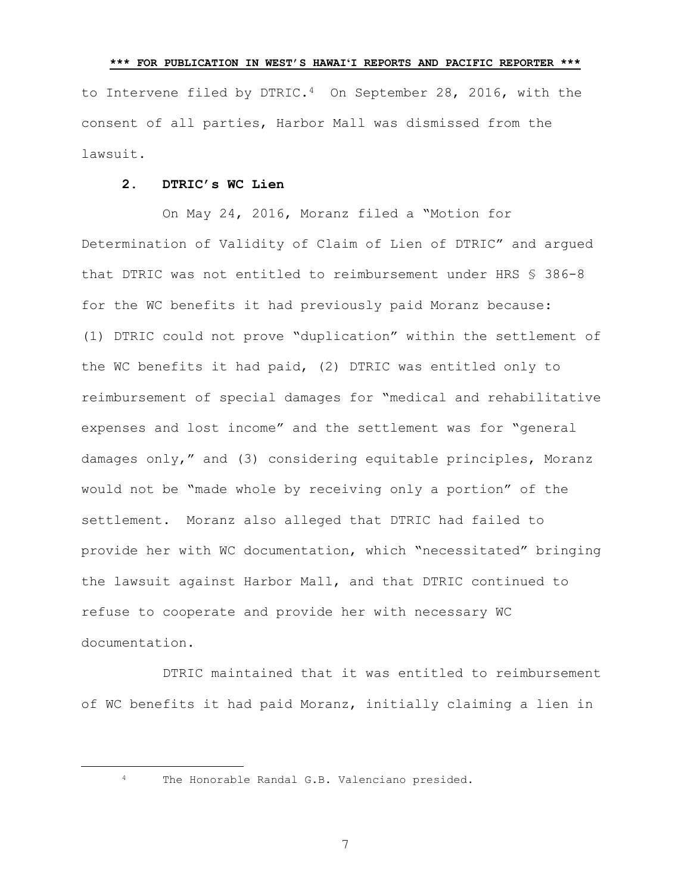**\*\*\* FOR PUBLICATION IN WEST'S HAWAIʻI REPORTS AND PACIFIC REPORTER \*\*\*** to Intervene filed by DTRIC.<sup>4</sup> On September 28, 2016, with the consent of all parties, Harbor Mall was dismissed from the lawsuit.

# **2. DTRIC's WC Lien**

On May 24, 2016, Moranz filed a "Motion for Determination of Validity of Claim of Lien of DTRIC" and argued that DTRIC was not entitled to reimbursement under HRS § 386-8 for the WC benefits it had previously paid Moranz because: (1) DTRIC could not prove "duplication" within the settlement of the WC benefits it had paid, (2) DTRIC was entitled only to reimbursement of special damages for "medical and rehabilitative expenses and lost income" and the settlement was for "general damages only," and (3) considering equitable principles, Moranz would not be "made whole by receiving only a portion" of the settlement. Moranz also alleged that DTRIC had failed to provide her with WC documentation, which "necessitated" bringing the lawsuit against Harbor Mall, and that DTRIC continued to refuse to cooperate and provide her with necessary WC documentation.

DTRIC maintained that it was entitled to reimbursement of WC benefits it had paid Moranz, initially claiming a lien in

L,

<sup>4</sup> The Honorable Randal G.B. Valenciano presided.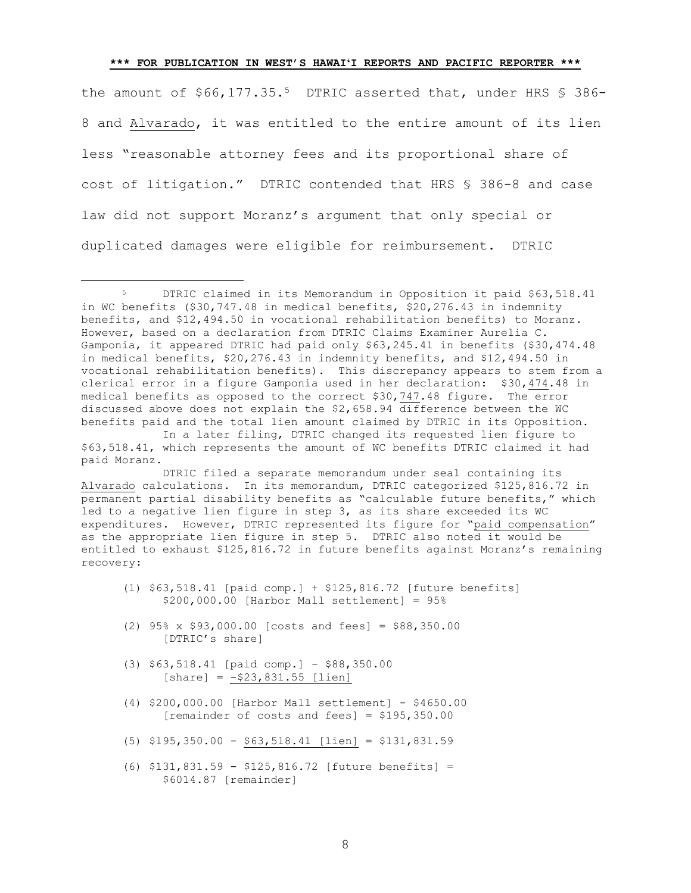the amount of \$66,177.35.<sup>5</sup> DTRIC asserted that, under HRS \$ 386-8 and Alvarado, it was entitled to the entire amount of its lien less "reasonable attorney fees and its proportional share of cost of litigation." DTRIC contended that HRS § 386-8 and case law did not support Moranz's argument that only special or duplicated damages were eligible for reimbursement. DTRIC

DTRIC filed a separate memorandum under seal containing its Alvarado calculations. In its memorandum, DTRIC categorized \$125,816.72 in permanent partial disability benefits as "calculable future benefits," which led to a negative lien figure in step 3, as its share exceeded its WC expenditures. However, DTRIC represented its figure for "paid compensation" as the appropriate lien figure in step 5. DTRIC also noted it would be entitled to exhaust \$125,816.72 in future benefits against Moranz's remaining recovery:

- (1) \$63,518.41 [paid comp.] + \$125,816.72 [future benefits] \$200,000.00 [Harbor Mall settlement] = 95%
- (2) 95% x \$93,000.00 [costs and fees] = \$88,350.00 [DTRIC's share]
- (3) \$63,518.41 [paid comp.] \$88,350.00  $[share] = -\$23,831.55 [lien]$

÷.

- (4) \$200,000.00 [Harbor Mall settlement] \$4650.00 [remainder of costs and fees] =  $$195,350.00$
- (5) \$195,350.00 \$63,518.41 [lien] = \$131,831.59
- (6) \$131,831.59 \$125,816.72 [future benefits] = \$6014.87 [remainder]

<sup>5</sup> DTRIC claimed in its Memorandum in Opposition it paid \$63,518.41 in WC benefits (\$30,747.48 in medical benefits, \$20,276.43 in indemnity benefits, and \$12,494.50 in vocational rehabilitation benefits) to Moranz. However, based on a declaration from DTRIC Claims Examiner Aurelia C. Gamponia, it appeared DTRIC had paid only \$63,245.41 in benefits (\$30,474.48 in medical benefits, \$20,276.43 in indemnity benefits, and \$12,494.50 in vocational rehabilitation benefits). This discrepancy appears to stem from a clerical error in a figure Gamponia used in her declaration: \$30,474.48 in medical benefits as opposed to the correct \$30,747.48 figure. The error discussed above does not explain the \$2,658.94 difference between the WC benefits paid and the total lien amount claimed by DTRIC in its Opposition.

In a later filing, DTRIC changed its requested lien figure to \$63,518.41, which represents the amount of WC benefits DTRIC claimed it had paid Moranz.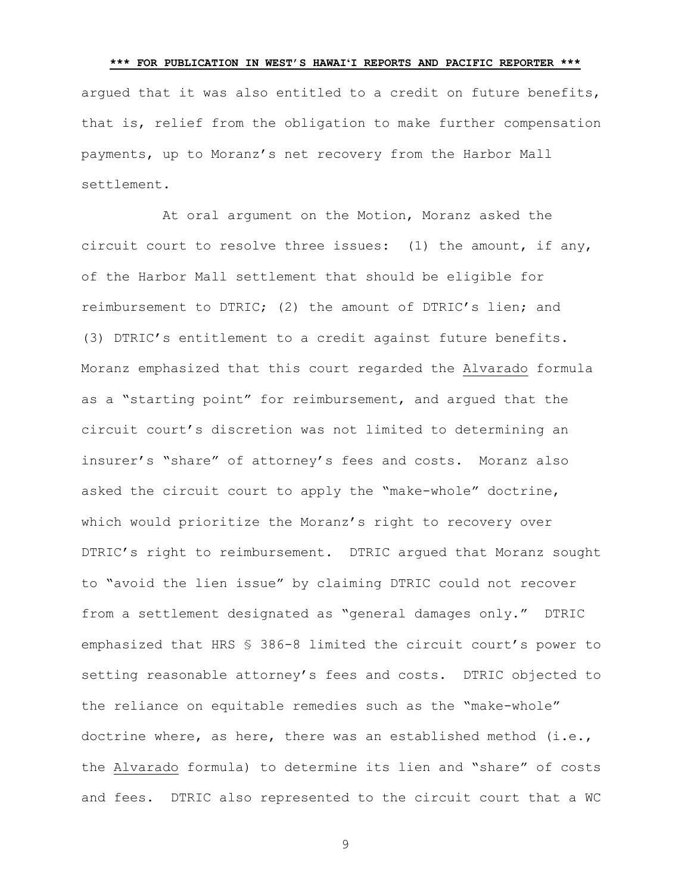**\*\*\* FOR PUBLICATION IN WEST'S HAWAIʻI REPORTS AND PACIFIC REPORTER \*\*\*** argued that it was also entitled to a credit on future benefits, that is, relief from the obligation to make further compensation payments, up to Moranz's net recovery from the Harbor Mall settlement.

At oral argument on the Motion, Moranz asked the circuit court to resolve three issues: (1) the amount, if any, of the Harbor Mall settlement that should be eligible for reimbursement to DTRIC; (2) the amount of DTRIC's lien; and (3) DTRIC's entitlement to a credit against future benefits. Moranz emphasized that this court regarded the Alvarado formula as a "starting point" for reimbursement, and argued that the circuit court's discretion was not limited to determining an insurer's "share" of attorney's fees and costs. Moranz also asked the circuit court to apply the "make-whole" doctrine, which would prioritize the Moranz's right to recovery over DTRIC's right to reimbursement. DTRIC argued that Moranz sought to "avoid the lien issue" by claiming DTRIC could not recover from a settlement designated as "general damages only." DTRIC emphasized that HRS § 386-8 limited the circuit court's power to setting reasonable attorney's fees and costs. DTRIC objected to the reliance on equitable remedies such as the "make-whole" doctrine where, as here, there was an established method (i.e., the Alvarado formula) to determine its lien and "share" of costs and fees. DTRIC also represented to the circuit court that a WC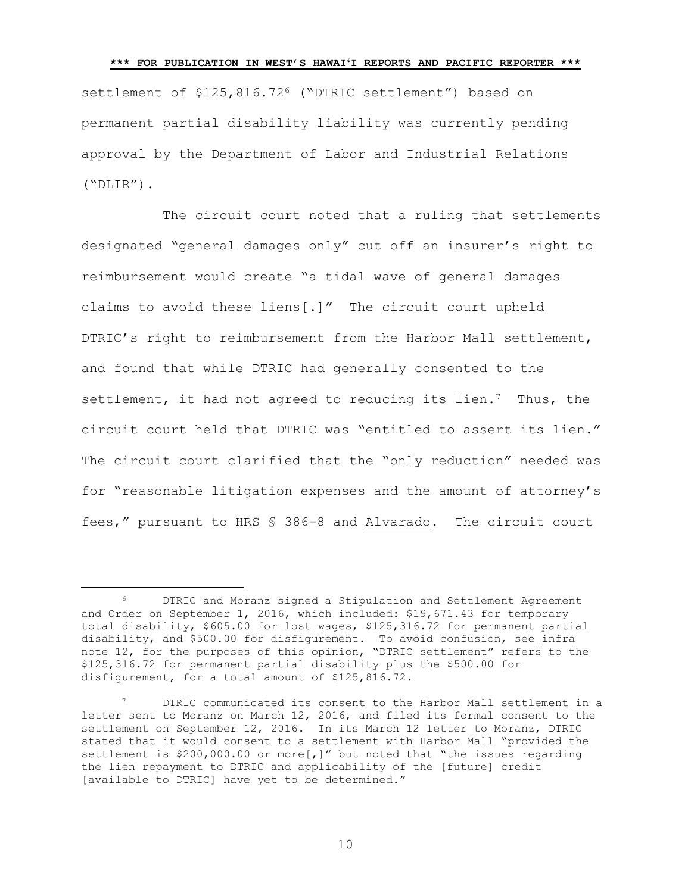<span id="page-9-0"></span>settlement of \$125,816.72<sup>6</sup> ("DTRIC settlement") based on permanent partial disability liability was currently pending approval by the Department of Labor and Industrial Relations ("DLIR").

The circuit court noted that a ruling that settlements designated "general damages only" cut off an insurer's right to reimbursement would create "a tidal wave of general damages claims to avoid these liens[.]" The circuit court upheld DTRIC's right to reimbursement from the Harbor Mall settlement, and found that while DTRIC had generally consented to the settlement, it had not agreed to reducing its lien.<sup>7</sup> Thus, the circuit court held that DTRIC was "entitled to assert its lien." The circuit court clarified that the "only reduction" needed was for "reasonable litigation expenses and the amount of attorney's fees," pursuant to HRS § 386-8 and Alvarado. The circuit court

÷.

<sup>6</sup> DTRIC and Moranz signed a Stipulation and Settlement Agreement and Order on September 1, 2016, which included: \$19,671.43 for temporary total disability, \$605.00 for lost wages, \$125,316.72 for permanent partial disability, and \$500.00 for disfigurement. To avoid confusion, see infra note [12,](#page-12-0) for the purposes of this opinion, "DTRIC settlement" refers to the \$125,316.72 for permanent partial disability plus the \$500.00 for disfigurement, for a total amount of \$125,816.72.

DTRIC communicated its consent to the Harbor Mall settlement in a letter sent to Moranz on March 12, 2016, and filed its formal consent to the settlement on September 12, 2016. In its March 12 letter to Moranz, DTRIC stated that it would consent to a settlement with Harbor Mall "provided the settlement is \$200,000.00 or more[,]" but noted that "the issues regarding the lien repayment to DTRIC and applicability of the [future] credit [available to DTRIC] have yet to be determined."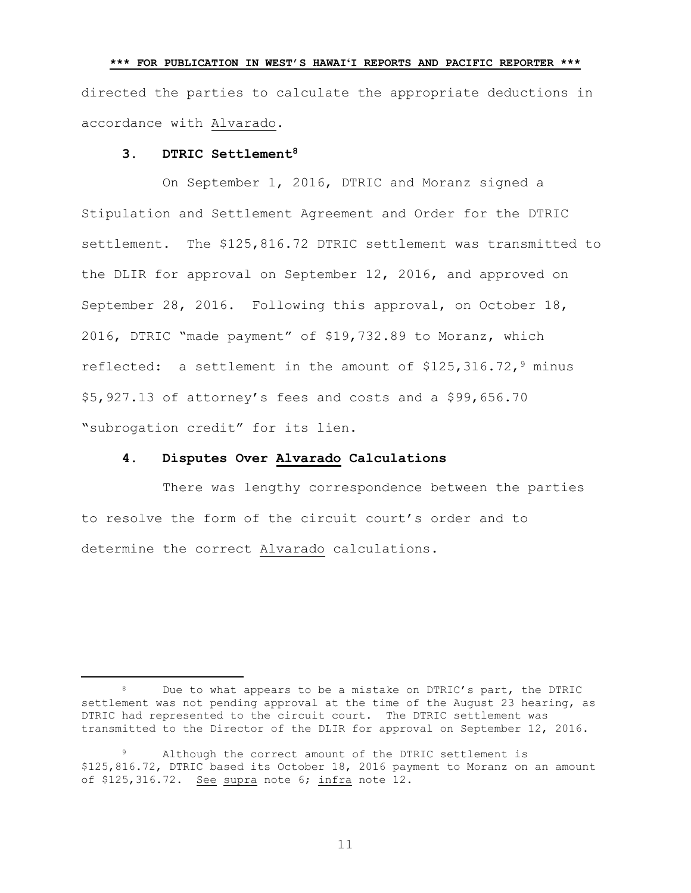directed the parties to calculate the appropriate deductions in accordance with Alvarado.

**\*\*\* FOR PUBLICATION IN WEST'S HAWAIʻI REPORTS AND PACIFIC REPORTER \*\*\***

# **3. DTRIC Settlement<sup>8</sup>**

÷.

On September 1, 2016, DTRIC and Moranz signed a Stipulation and Settlement Agreement and Order for the DTRIC settlement. The \$125,816.72 DTRIC settlement was transmitted to the DLIR for approval on September 12, 2016, and approved on September 28, 2016. Following this approval, on October 18, 2016, DTRIC "made payment" of \$19,732.89 to Moranz, which reflected: a settlement in the amount of  $$125,316.72,$ <sup>9</sup> minus \$5,927.13 of attorney's fees and costs and a \$99,656.70 "subrogation credit" for its lien.

# **4. Disputes Over Alvarado Calculations**

There was lengthy correspondence between the parties to resolve the form of the circuit court's order and to determine the correct Alvarado calculations.

<sup>8</sup> Due to what appears to be a mistake on DTRIC's part, the DTRIC settlement was not pending approval at the time of the August 23 hearing, as DTRIC had represented to the circuit court. The DTRIC settlement was transmitted to the Director of the DLIR for approval on September 12, 2016.

Although the correct amount of the DTRIC settlement is \$125,816.72, DTRIC based its October 18, 2016 payment to Moranz on an amount of \$125,316.72. See supra note [6;](#page-9-0) infra note [12.](#page-12-0)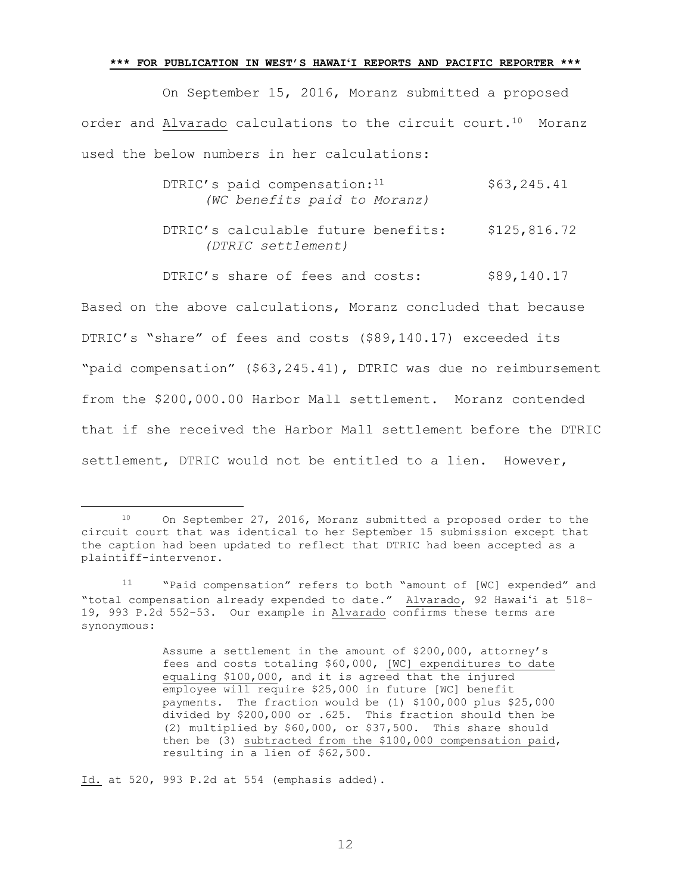On September 15, 2016, Moranz submitted a proposed order and Alvarado calculations to the circuit court.10 Moranz used the below numbers in her calculations:

- DTRIC's paid compensation: $11$  \$63,245.41 *(WC benefits paid to Moranz)*
- DTRIC's calculable future benefits: \$125,816.72 *(DTRIC settlement)*

DTRIC's share of fees and costs: \$89,140.17 Based on the above calculations, Moranz concluded that because DTRIC's "share" of fees and costs (\$89,140.17) exceeded its "paid compensation" (\$63,245.41), DTRIC was due no reimbursement from the \$200,000.00 Harbor Mall settlement. Moranz contended that if she received the Harbor Mall settlement before the DTRIC settlement, DTRIC would not be entitled to a lien. However,

Assume a settlement in the amount of \$200,000, attorney's fees and costs totaling \$60,000, [WC] expenditures to date equaling \$100,000, and it is agreed that the injured employee will require \$25,000 in future [WC] benefit payments. The fraction would be (1) \$100,000 plus \$25,000 divided by \$200,000 or .625. This fraction should then be (2) multiplied by \$60,000, or \$37,500. This share should then be (3) subtracted from the \$100,000 compensation paid, resulting in a lien of \$62,500.

Id. at 520, 993 P.2d at 554 (emphasis added).

÷.

<sup>10</sup> On September 27, 2016, Moranz submitted a proposed order to the circuit court that was identical to her September 15 submission except that the caption had been updated to reflect that DTRIC had been accepted as a plaintiff-intervenor.

<sup>11</sup> "Paid compensation" refers to both "amount of [WC] expended" and "total compensation already expended to date." Alvarado, 92 Hawaiʻi at 518– 19, 993 P.2d 552–53. Our example in Alvarado confirms these terms are synonymous: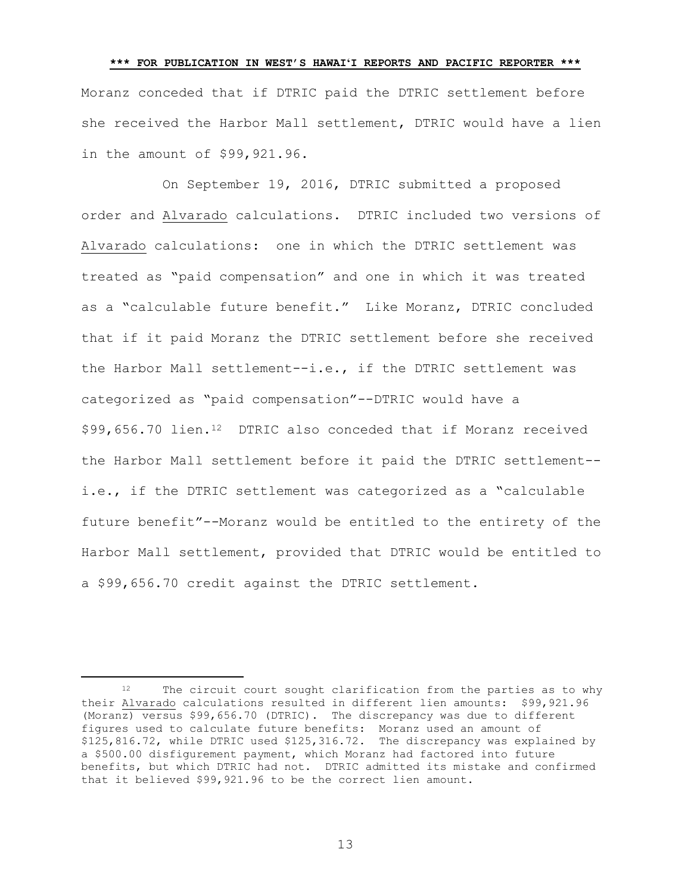**\*\*\* FOR PUBLICATION IN WEST'S HAWAIʻI REPORTS AND PACIFIC REPORTER \*\*\*** Moranz conceded that if DTRIC paid the DTRIC settlement before she received the Harbor Mall settlement, DTRIC would have a lien in the amount of \$99,921.96.

<span id="page-12-0"></span>On September 19, 2016, DTRIC submitted a proposed order and Alvarado calculations. DTRIC included two versions of Alvarado calculations: one in which the DTRIC settlement was treated as "paid compensation" and one in which it was treated as a "calculable future benefit." Like Moranz, DTRIC concluded that if it paid Moranz the DTRIC settlement before she received the Harbor Mall settlement--i.e., if the DTRIC settlement was categorized as "paid compensation"--DTRIC would have a \$99,656.70 lien.12 DTRIC also conceded that if Moranz received the Harbor Mall settlement before it paid the DTRIC settlement- i.e., if the DTRIC settlement was categorized as a "calculable future benefit"--Moranz would be entitled to the entirety of the Harbor Mall settlement, provided that DTRIC would be entitled to a \$99,656.70 credit against the DTRIC settlement.

÷.

<sup>12</sup> The circuit court sought clarification from the parties as to why their Alvarado calculations resulted in different lien amounts: \$99,921.96 (Moranz) versus \$99,656.70 (DTRIC). The discrepancy was due to different figures used to calculate future benefits: Moranz used an amount of \$125,816.72, while DTRIC used \$125,316.72. The discrepancy was explained by a \$500.00 disfigurement payment, which Moranz had factored into future benefits, but which DTRIC had not. DTRIC admitted its mistake and confirmed that it believed \$99,921.96 to be the correct lien amount.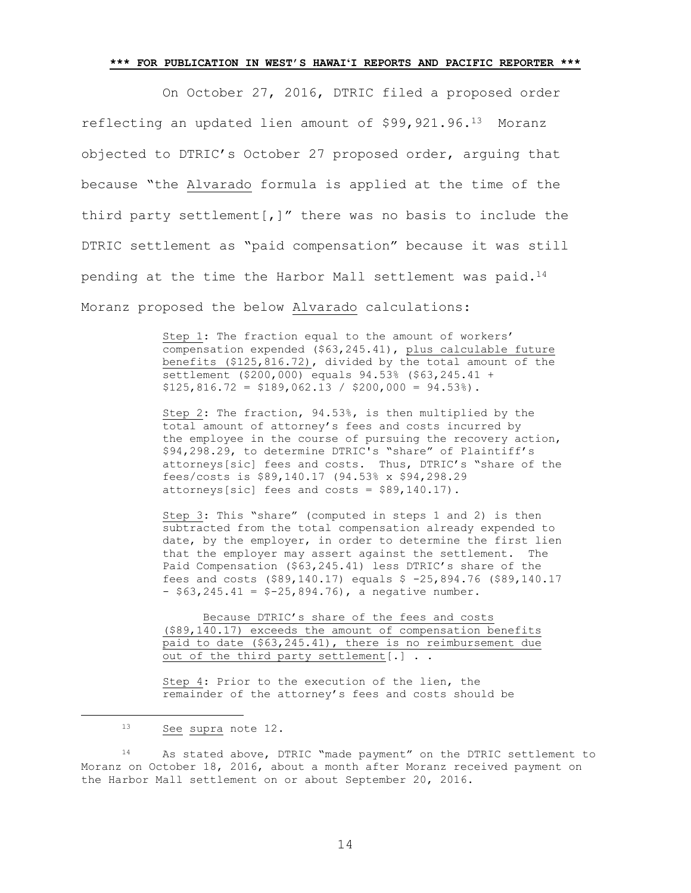On October 27, 2016, DTRIC filed a proposed order reflecting an updated lien amount of \$99,921.96.13 Moranz objected to DTRIC's October 27 proposed order, arguing that because "the Alvarado formula is applied at the time of the third party settlement[,]" there was no basis to include the DTRIC settlement as "paid compensation" because it was still pending at the time the Harbor Mall settlement was paid.<sup>14</sup> Moranz proposed the below Alvarado calculations:

> Step 1: The fraction equal to the amount of workers' compensation expended (\$63,245.41), plus calculable future benefits (\$125,816.72), divided by the total amount of the settlement (\$200,000) equals 94.53% (\$63,245.41 +  $$125,816.72 = $189,062.13 / $200,000 = 94.53%$ .

Step 2: The fraction, 94.53%, is then multiplied by the total amount of attorney's fees and costs incurred by the employee in the course of pursuing the recovery action, \$94,298.29, to determine DTRIC's "share" of Plaintiff's attorneys[sic] fees and costs. Thus, DTRIC's "share of the fees/costs is \$89,140.17 (94.53% x \$94,298.29 attorneys[sic] fees and costs = \$89,140.17).

Step 3: This "share" (computed in steps 1 and 2) is then subtracted from the total compensation already expended to date, by the employer, in order to determine the first lien that the employer may assert against the settlement. The Paid Compensation (\$63,245.41) less DTRIC's share of the fees and costs (\$89,140.17) equals \$ -25,894.76 (\$89,140.17  $-$  \$63,245.41 = \$-25,894.76), a negative number.

Because DTRIC's share of the fees and costs (\$89,140.17) exceeds the amount of compensation benefits paid to date (\$63,245.41), there is no reimbursement due out of the third party settlement[.] . .

Step 4: Prior to the execution of the lien, the remainder of the attorney's fees and costs should be

÷.

<sup>14</sup> As stated above, DTRIC "made payment" on the DTRIC settlement to Moranz on October 18, 2016, about a month after Moranz received payment on the Harbor Mall settlement on or about September 20, 2016.

<sup>13</sup> See supra note [12.](#page-12-0)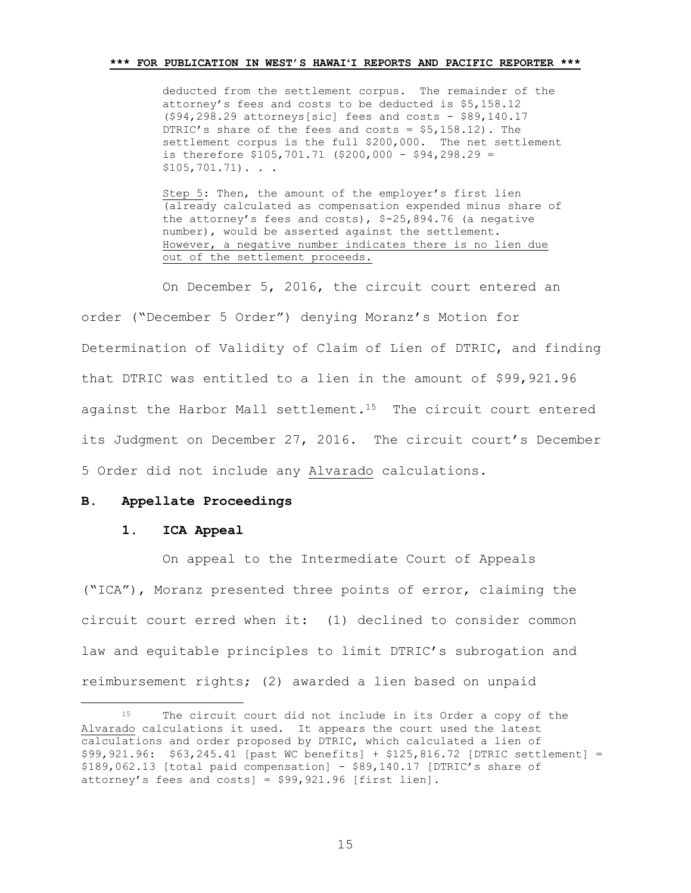deducted from the settlement corpus. The remainder of the attorney's fees and costs to be deducted is \$5,158.12 (\$94,298.29 attorneys[sic] fees and costs - \$89,140.17 DTRIC's share of the fees and costs = \$5,158.12). The settlement corpus is the full \$200,000. The net settlement is therefore \$105,701.71 (\$200,000 - \$94,298.29 =  $$105,701.71$ ). . .

Step 5: Then, the amount of the employer's first lien (already calculated as compensation expended minus share of the attorney's fees and costs), \$-25,894.76 (a negative number), would be asserted against the settlement. However, a negative number indicates there is no lien due out of the settlement proceeds.

On December 5, 2016, the circuit court entered an order ("December 5 Order") denying Moranz's Motion for Determination of Validity of Claim of Lien of DTRIC, and finding that DTRIC was entitled to a lien in the amount of \$99,921.96 against the Harbor Mall settlement.<sup>15</sup> The circuit court entered its Judgment on December 27, 2016. The circuit court's December 5 Order did not include any Alvarado calculations.

## **B. Appellate Proceedings**

#### **1. ICA Appeal**

L,

On appeal to the Intermediate Court of Appeals ("ICA"), Moranz presented three points of error, claiming the circuit court erred when it: (1) declined to consider common law and equitable principles to limit DTRIC's subrogation and reimbursement rights; (2) awarded a lien based on unpaid

<sup>15</sup> The circuit court did not include in its Order a copy of the Alvarado calculations it used. It appears the court used the latest calculations and order proposed by DTRIC, which calculated a lien of \$99,921.96: \$63,245.41 [past WC benefits] + \$125,816.72 [DTRIC settlement] = \$189,062.13 [total paid compensation] - \$89,140.17 [DTRIC's share of attorney's fees and costs] = \$99,921.96 [first lien].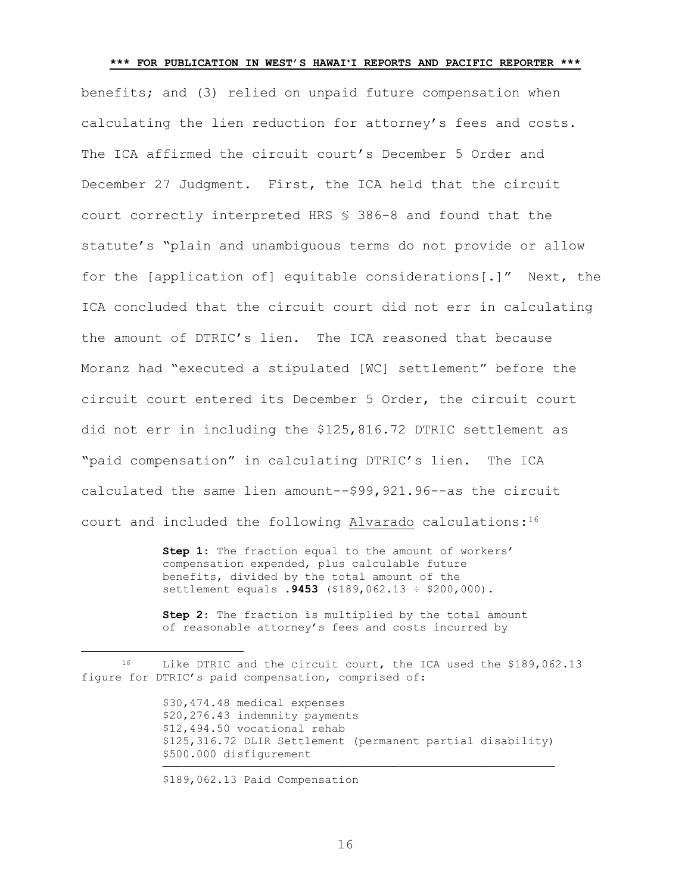benefits; and (3) relied on unpaid future compensation when calculating the lien reduction for attorney's fees and costs. The ICA affirmed the circuit court's December 5 Order and December 27 Judgment. First, the ICA held that the circuit court correctly interpreted HRS § 386-8 and found that the statute's "plain and unambiguous terms do not provide or allow for the [application of] equitable considerations[.]" Next, the ICA concluded that the circuit court did not err in calculating the amount of DTRIC's lien. The ICA reasoned that because Moranz had "executed a stipulated [WC] settlement" before the circuit court entered its December 5 Order, the circuit court did not err in including the \$125,816.72 DTRIC settlement as "paid compensation" in calculating DTRIC's lien. The ICA calculated the same lien amount--\$99,921.96--as the circuit court and included the following Alvarado calculations:<sup>16</sup>

> **Step 1**: The fraction equal to the amount of workers' compensation expended, plus calculable future benefits, divided by the total amount of the settlement equals **.9453** (\$189,062.13 ÷ \$200,000).

**Step 2**: The fraction is multiplied by the total amount of reasonable attorney's fees and costs incurred by

\$30,474.48 medical expenses \$20,276.43 indemnity payments \$12,494.50 vocational rehab \$125,316.72 DLIR Settlement (permanent partial disability) \$500.000 disfigurement ——————————————————————————————————————————————————————————

\$189,062.13 Paid Compensation

L,

<sup>&</sup>lt;sup>16</sup> Like DTRIC and the circuit court, the ICA used the \$189,062.13 figure for DTRIC's paid compensation, comprised of: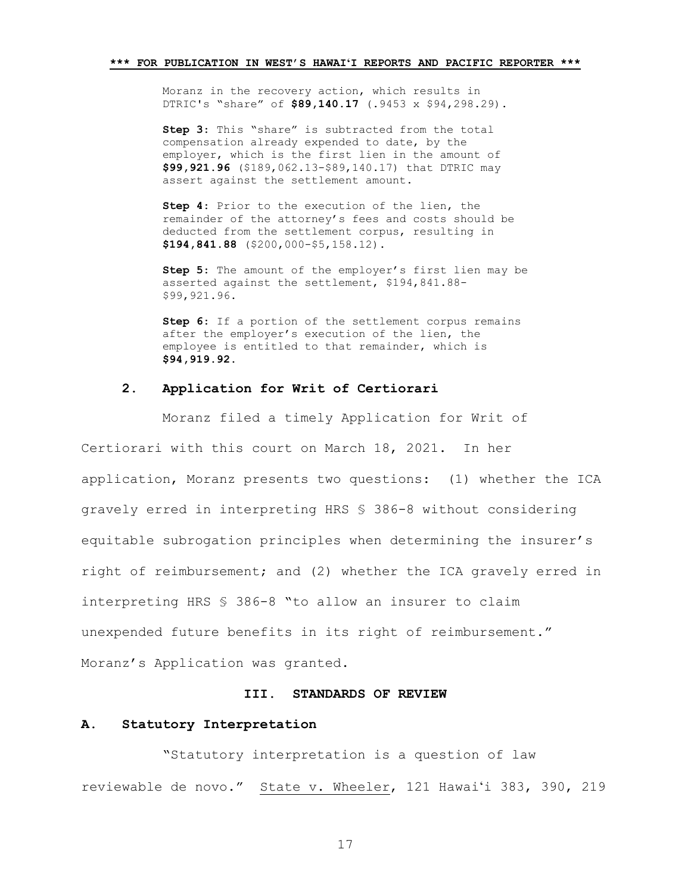Moranz in the recovery action, which results in DTRIC's "share" of **\$89,140.17** (.9453 x \$94,298.29).

**Step 3**: This "share" is subtracted from the total compensation already expended to date, by the employer, which is the first lien in the amount of **\$99,921.96** (\$189,062.13-\$89,140.17) that DTRIC may assert against the settlement amount.

**Step 4**: Prior to the execution of the lien, the remainder of the attorney's fees and costs should be deducted from the settlement corpus, resulting in **\$194,841.88** (\$200,000-\$5,158.12).

**Step 5**: The amount of the employer's first lien may be asserted against the settlement, \$194,841.88- \$99,921.96.

**Step 6**: If a portion of the settlement corpus remains after the employer's execution of the lien, the employee is entitled to that remainder, which is **\$94,919.92**.

## **2. Application for Writ of Certiorari**

Moranz filed a timely Application for Writ of

Certiorari with this court on March 18, 2021. In her application, Moranz presents two questions: (1) whether the ICA gravely erred in interpreting HRS § 386-8 without considering equitable subrogation principles when determining the insurer's right of reimbursement; and (2) whether the ICA gravely erred in interpreting HRS § 386-8 "to allow an insurer to claim unexpended future benefits in its right of reimbursement." Moranz's Application was granted.

#### **III. STANDARDS OF REVIEW**

# **A. Statutory Interpretation**

"Statutory interpretation is a question of law reviewable de novo." State v. Wheeler, 121 Hawaiʻi 383, 390, 219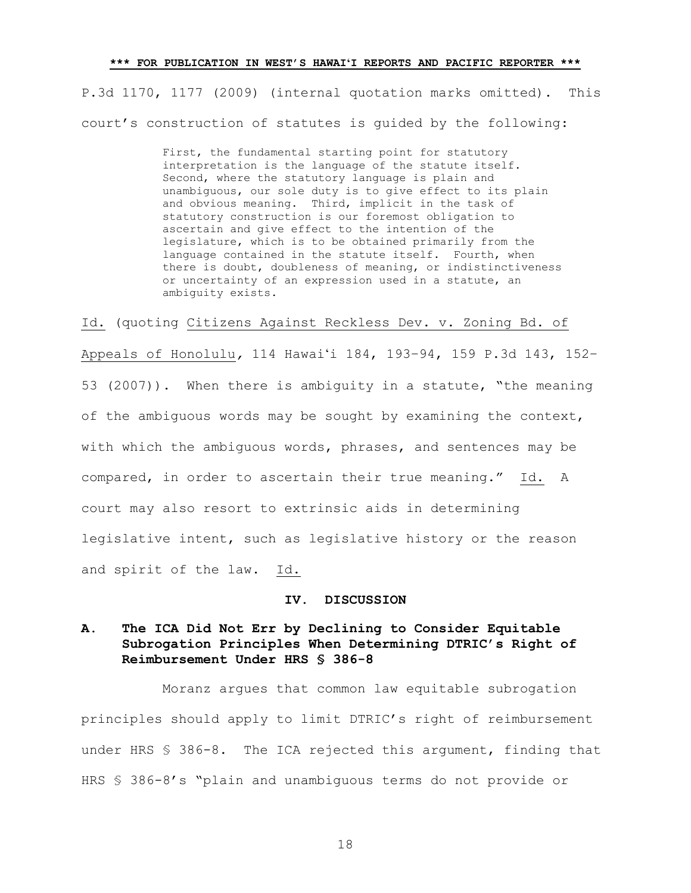P.3d 1170, 1177 (2009) (internal quotation marks omitted). This court's construction of statutes is guided by the following:

> First, the fundamental starting point for statutory interpretation is the language of the statute itself. Second, where the statutory language is plain and unambiguous, our sole duty is to give effect to its plain and obvious meaning. Third, implicit in the task of statutory construction is our foremost obligation to ascertain and give effect to the intention of the legislature, which is to be obtained primarily from the language contained in the statute itself. Fourth, when there is doubt, doubleness of meaning, or indistinctiveness or uncertainty of an expression used in a statute, an ambiguity exists.

Id. (quoting Citizens Against Reckless Dev. v. Zoning Bd. of Appeals of Honolulu*,* 114 Hawaiʻi 184, 193–94, 159 P.3d 143, 152– 53 (2007)). When there is ambiguity in a statute, "the meaning of the ambiguous words may be sought by examining the context, with which the ambiguous words, phrases, and sentences may be compared, in order to ascertain their true meaning." Id. A court may also resort to extrinsic aids in determining legislative intent, such as legislative history or the reason and spirit of the law. Id.

#### **IV. DISCUSSION**

# **A. The ICA Did Not Err by Declining to Consider Equitable Subrogation Principles When Determining DTRIC's Right of Reimbursement Under HRS § 386-8**

Moranz argues that common law equitable subrogation principles should apply to limit DTRIC's right of reimbursement under HRS § 386-8. The ICA rejected this argument, finding that HRS § 386-8's "plain and unambiguous terms do not provide or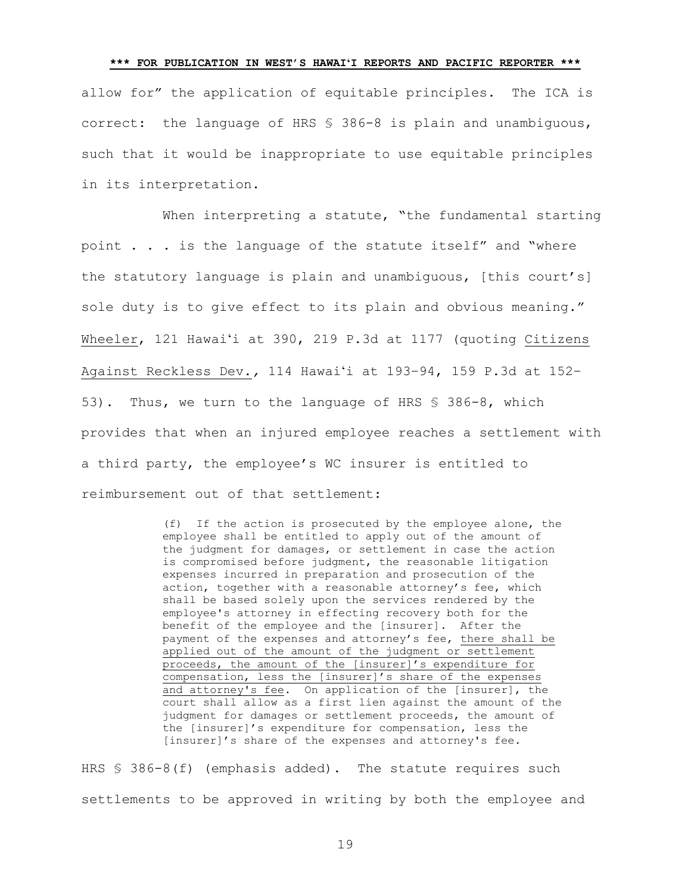# **\*\*\* FOR PUBLICATION IN WEST'S HAWAIʻI REPORTS AND PACIFIC REPORTER \*\*\*** allow for" the application of equitable principles. The ICA is correct: the language of HRS § 386-8 is plain and unambiguous, such that it would be inappropriate to use equitable principles in its interpretation.

When interpreting a statute, "the fundamental starting point . . . is the language of the statute itself" and "where the statutory language is plain and unambiguous, [this court's] sole duty is to give effect to its plain and obvious meaning." Wheeler, 121 Hawaiʻi at 390, 219 P.3d at 1177 (quoting Citizens Against Reckless Dev.*,* 114 Hawaiʻi at 193–94, 159 P.3d at 152– 53). Thus, we turn to the language of HRS § 386-8, which provides that when an injured employee reaches a settlement with a third party, the employee's WC insurer is entitled to reimbursement out of that settlement:

> (f) If the action is prosecuted by the employee alone, the employee shall be entitled to apply out of the amount of the judgment for damages, or settlement in case the action is compromised before judgment, the reasonable litigation expenses incurred in preparation and prosecution of the action, together with a reasonable attorney's fee, which shall be based solely upon the services rendered by the employee's attorney in effecting recovery both for the benefit of the employee and the [insurer]. After the payment of the expenses and attorney's fee, there shall be applied out of the amount of the judgment or settlement proceeds, the amount of the [insurer]'s expenditure for compensation, less the [insurer]'s share of the expenses and attorney's fee. On application of the [insurer], the court shall allow as a first lien against the amount of the judgment for damages or settlement proceeds, the amount of the [insurer]'s expenditure for compensation, less the [insurer]'s share of the expenses and attorney's fee.

HRS § 386-8(f) (emphasis added). The statute requires such settlements to be approved in writing by both the employee and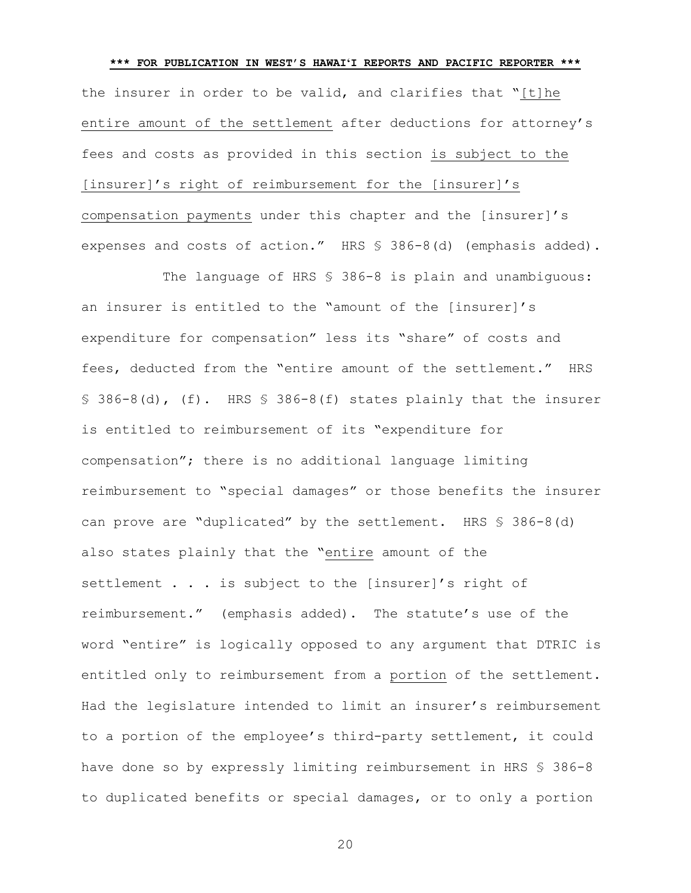**\*\*\* FOR PUBLICATION IN WEST'S HAWAIʻI REPORTS AND PACIFIC REPORTER \*\*\*** the insurer in order to be valid, and clarifies that "[t]he entire amount of the settlement after deductions for attorney's fees and costs as provided in this section is subject to the [insurer]'s right of reimbursement for the [insurer]'s compensation payments under this chapter and the [insurer]'s expenses and costs of action." HRS § 386-8(d) (emphasis added).

The language of HRS § 386-8 is plain and unambiguous: an insurer is entitled to the "amount of the [insurer]'s expenditure for compensation" less its "share" of costs and fees, deducted from the "entire amount of the settlement." HRS § 386-8(d), (f). HRS § 386-8(f) states plainly that the insurer is entitled to reimbursement of its "expenditure for compensation"; there is no additional language limiting reimbursement to "special damages" or those benefits the insurer can prove are "duplicated" by the settlement. HRS § 386-8(d) also states plainly that the "entire amount of the settlement . . . is subject to the [insurer]'s right of reimbursement." (emphasis added). The statute's use of the word "entire" is logically opposed to any argument that DTRIC is entitled only to reimbursement from a portion of the settlement. Had the legislature intended to limit an insurer's reimbursement to a portion of the employee's third-party settlement, it could have done so by expressly limiting reimbursement in HRS \$ 386-8 to duplicated benefits or special damages, or to only a portion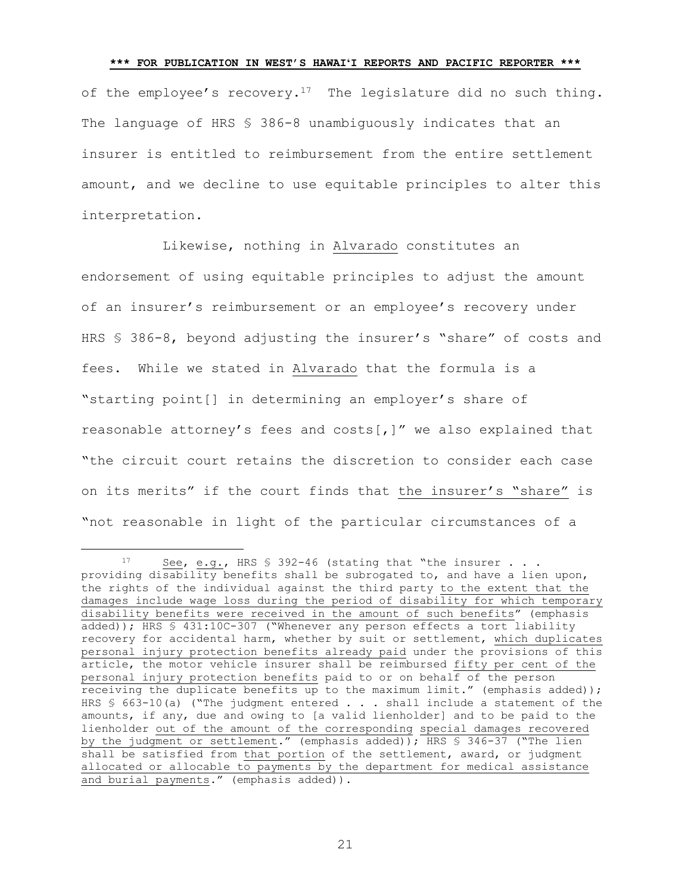of the employee's recovery.<sup>17</sup> The legislature did no such thing. The language of HRS § 386-8 unambiguously indicates that an insurer is entitled to reimbursement from the entire settlement amount, and we decline to use equitable principles to alter this interpretation.

Likewise, nothing in Alvarado constitutes an endorsement of using equitable principles to adjust the amount of an insurer's reimbursement or an employee's recovery under HRS § 386-8, beyond adjusting the insurer's "share" of costs and fees. While we stated in Alvarado that the formula is a "starting point[] in determining an employer's share of reasonable attorney's fees and costs[,]" we also explained that "the circuit court retains the discretion to consider each case on its merits" if the court finds that the insurer's "share" is "not reasonable in light of the particular circumstances of a

÷.

<sup>17</sup> See, e.g., HRS § 392-46 (stating that "the insurer . . . providing disability benefits shall be subrogated to, and have a lien upon, the rights of the individual against the third party to the extent that the damages include wage loss during the period of disability for which temporary disability benefits were received in the amount of such benefits" (emphasis added)); HRS § 431:10C-307 ("Whenever any person effects a tort liability recovery for accidental harm, whether by suit or settlement, which duplicates personal injury protection benefits already paid under the provisions of this article, the motor vehicle insurer shall be reimbursed fifty per cent of the personal injury protection benefits paid to or on behalf of the person receiving the duplicate benefits up to the maximum limit." (emphasis added)); HRS § 663-10(a) ("The judgment entered . . . shall include a statement of the amounts, if any, due and owing to [a valid lienholder] and to be paid to the lienholder out of the amount of the corresponding special damages recovered by the judgment or settlement." (emphasis added)); HRS § 346-37 ("The lien shall be satisfied from that portion of the settlement, award, or judgment allocated or allocable to payments by the department for medical assistance and burial payments." (emphasis added)).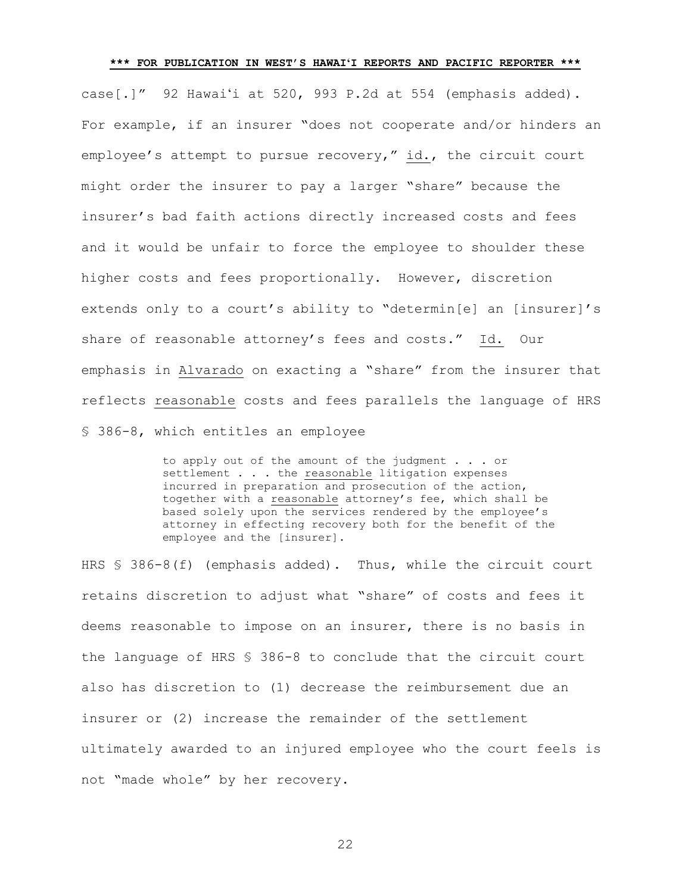case[.]" 92 Hawaiʻi at 520, 993 P.2d at 554 (emphasis added). For example, if an insurer "does not cooperate and/or hinders an employee's attempt to pursue recovery," id., the circuit court might order the insurer to pay a larger "share" because the insurer's bad faith actions directly increased costs and fees and it would be unfair to force the employee to shoulder these higher costs and fees proportionally. However, discretion extends only to a court's ability to "determin[e] an [insurer]'s share of reasonable attorney's fees and costs." Id. Our emphasis in Alvarado on exacting a "share" from the insurer that reflects reasonable costs and fees parallels the language of HRS § 386-8, which entitles an employee

> to apply out of the amount of the judgment . . . or settlement . . . the reasonable litigation expenses incurred in preparation and prosecution of the action, together with a reasonable attorney's fee, which shall be based solely upon the services rendered by the employee's attorney in effecting recovery both for the benefit of the employee and the [insurer].

HRS § 386-8(f) (emphasis added). Thus, while the circuit court retains discretion to adjust what "share" of costs and fees it deems reasonable to impose on an insurer, there is no basis in the language of HRS § 386-8 to conclude that the circuit court also has discretion to (1) decrease the reimbursement due an insurer or (2) increase the remainder of the settlement ultimately awarded to an injured employee who the court feels is not "made whole" by her recovery.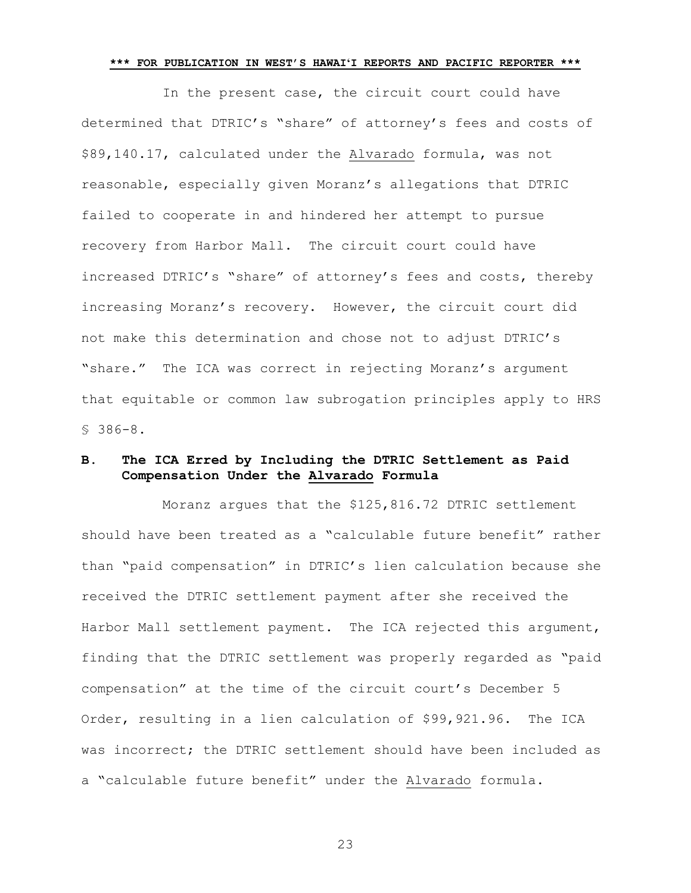In the present case, the circuit court could have determined that DTRIC's "share" of attorney's fees and costs of \$89,140.17, calculated under the Alvarado formula, was not reasonable, especially given Moranz's allegations that DTRIC failed to cooperate in and hindered her attempt to pursue recovery from Harbor Mall. The circuit court could have increased DTRIC's "share" of attorney's fees and costs, thereby increasing Moranz's recovery. However, the circuit court did not make this determination and chose not to adjust DTRIC's "share." The ICA was correct in rejecting Moranz's argument that equitable or common law subrogation principles apply to HRS § 386-8.

# **B. The ICA Erred by Including the DTRIC Settlement as Paid Compensation Under the Alvarado Formula**

Moranz argues that the \$125,816.72 DTRIC settlement should have been treated as a "calculable future benefit" rather than "paid compensation" in DTRIC's lien calculation because she received the DTRIC settlement payment after she received the Harbor Mall settlement payment. The ICA rejected this argument, finding that the DTRIC settlement was properly regarded as "paid compensation" at the time of the circuit court's December 5 Order, resulting in a lien calculation of \$99,921.96. The ICA was incorrect; the DTRIC settlement should have been included as a "calculable future benefit" under the Alvarado formula.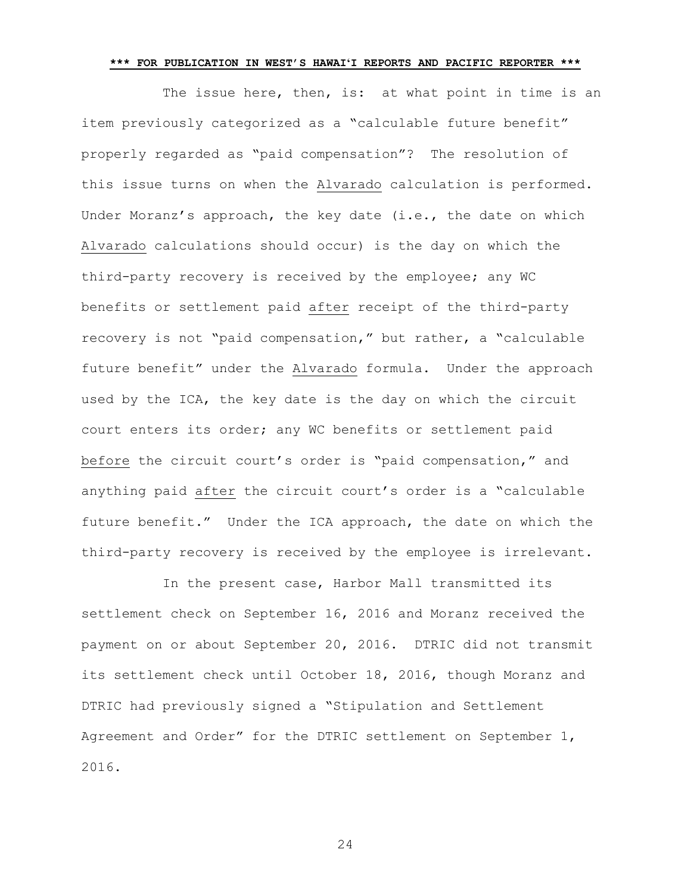The issue here, then, is: at what point in time is an item previously categorized as a "calculable future benefit" properly regarded as "paid compensation"? The resolution of this issue turns on when the Alvarado calculation is performed. Under Moranz's approach, the key date (i.e., the date on which Alvarado calculations should occur) is the day on which the third-party recovery is received by the employee; any WC benefits or settlement paid after receipt of the third-party recovery is not "paid compensation," but rather, a "calculable future benefit" under the Alvarado formula. Under the approach used by the ICA, the key date is the day on which the circuit court enters its order; any WC benefits or settlement paid before the circuit court's order is "paid compensation," and anything paid after the circuit court's order is a "calculable future benefit." Under the ICA approach, the date on which the third-party recovery is received by the employee is irrelevant.

In the present case, Harbor Mall transmitted its settlement check on September 16, 2016 and Moranz received the payment on or about September 20, 2016. DTRIC did not transmit its settlement check until October 18, 2016, though Moranz and DTRIC had previously signed a "Stipulation and Settlement Agreement and Order" for the DTRIC settlement on September 1, 2016.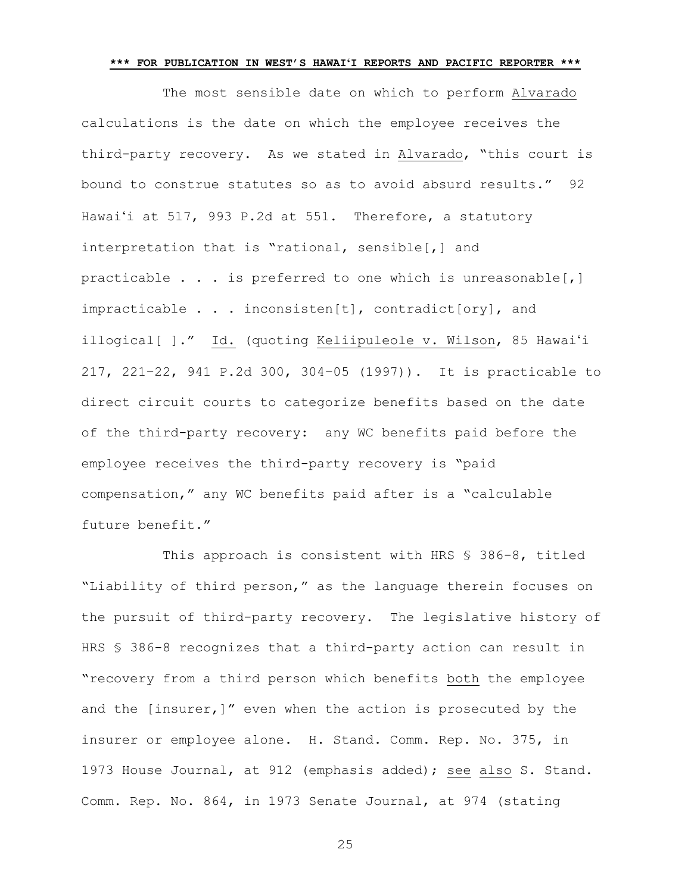The most sensible date on which to perform Alvarado calculations is the date on which the employee receives the third-party recovery. As we stated in Alvarado, "this court is bound to construe statutes so as to avoid absurd results." 92 Hawaiʻi at 517, 993 P.2d at 551. Therefore, a statutory interpretation that is "rational, sensible[,] and practicable . . . is preferred to one which is unreasonable[,] impracticable . . . inconsisten[t], contradict[ory], and illogical[ ]." Id. (quoting Keliipuleole v. Wilson, 85 Hawaiʻi 217, 221–22, 941 P.2d 300, 304–05 (1997)). It is practicable to direct circuit courts to categorize benefits based on the date of the third-party recovery: any WC benefits paid before the employee receives the third-party recovery is "paid compensation," any WC benefits paid after is a "calculable future benefit."

This approach is consistent with HRS § 386-8, titled "Liability of third person," as the language therein focuses on the pursuit of third-party recovery. The legislative history of HRS § 386-8 recognizes that a third-party action can result in "recovery from a third person which benefits both the employee and the [insurer,]" even when the action is prosecuted by the insurer or employee alone. H. Stand. Comm. Rep. No. 375, in 1973 House Journal, at 912 (emphasis added); see also S. Stand. Comm. Rep. No. 864, in 1973 Senate Journal, at 974 (stating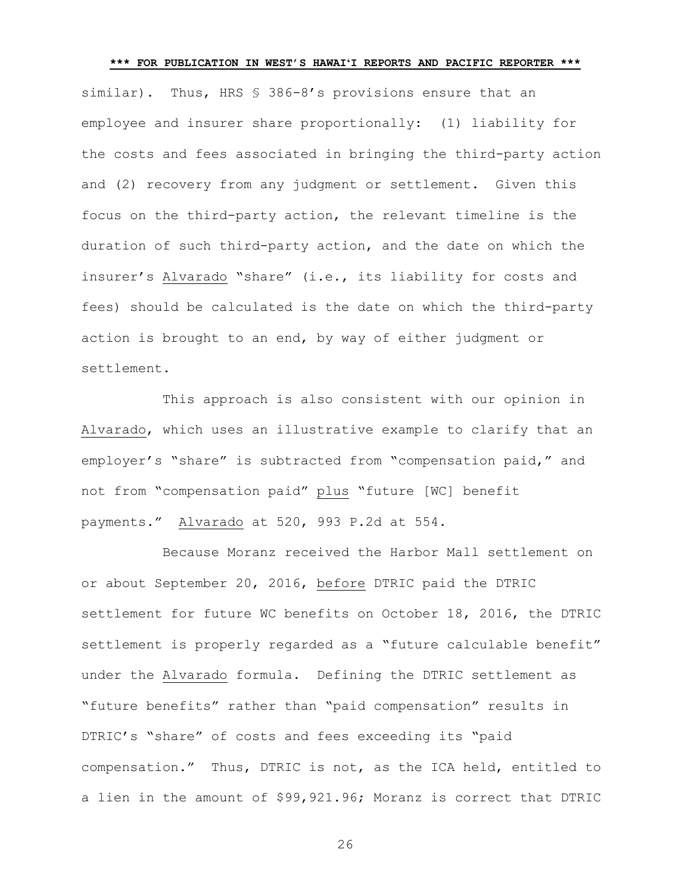similar). Thus, HRS § 386-8's provisions ensure that an employee and insurer share proportionally: (1) liability for the costs and fees associated in bringing the third-party action and (2) recovery from any judgment or settlement. Given this focus on the third-party action, the relevant timeline is the duration of such third-party action, and the date on which the insurer's Alvarado "share" (i.e., its liability for costs and fees) should be calculated is the date on which the third-party action is brought to an end, by way of either judgment or settlement.

This approach is also consistent with our opinion in Alvarado, which uses an illustrative example to clarify that an employer's "share" is subtracted from "compensation paid," and not from "compensation paid" plus "future [WC] benefit payments." Alvarado at 520, 993 P.2d at 554.

Because Moranz received the Harbor Mall settlement on or about September 20, 2016, before DTRIC paid the DTRIC settlement for future WC benefits on October 18, 2016, the DTRIC settlement is properly regarded as a "future calculable benefit" under the Alvarado formula. Defining the DTRIC settlement as "future benefits" rather than "paid compensation" results in DTRIC's "share" of costs and fees exceeding its "paid compensation." Thus, DTRIC is not, as the ICA held, entitled to a lien in the amount of \$99,921.96; Moranz is correct that DTRIC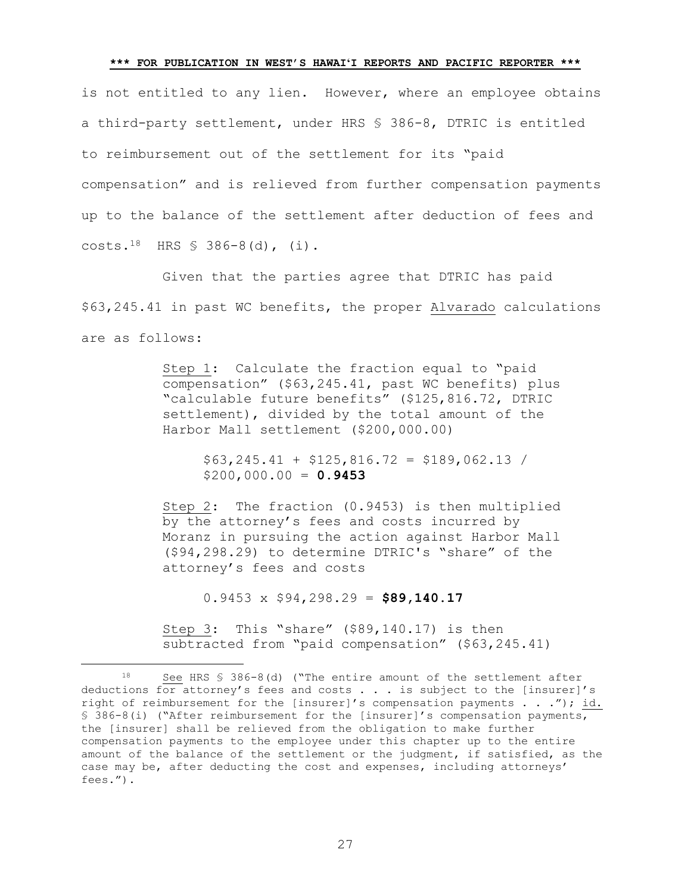is not entitled to any lien. However, where an employee obtains a third-party settlement, under HRS § 386-8, DTRIC is entitled to reimbursement out of the settlement for its "paid compensation" and is relieved from further compensation payments up to the balance of the settlement after deduction of fees and  $costs.18$  HRS § 386-8(d), (i).

Given that the parties agree that DTRIC has paid \$63,245.41 in past WC benefits, the proper Alvarado calculations are as follows:

> Step 1: Calculate the fraction equal to "paid compensation" (\$63,245.41, past WC benefits) plus "calculable future benefits" (\$125,816.72, DTRIC settlement), divided by the total amount of the Harbor Mall settlement (\$200,000.00)

> > $$63,245.41 + $125.816.72 = $189.062.13$ \$200,000.00 = **0.9453**

Step 2: The fraction (0.9453) is then multiplied by the attorney's fees and costs incurred by Moranz in pursuing the action against Harbor Mall (\$94,298.29) to determine DTRIC's "share" of the attorney's fees and costs

0.9453 x \$94,298.29 = **\$89,140.17**

L,

Step 3: This "share" (\$89,140.17) is then subtracted from "paid compensation" (\$63,245.41)

See HRS § 386-8(d) ("The entire amount of the settlement after deductions for attorney's fees and costs . . . is subject to the [insurer]'s right of reimbursement for the [insurer]'s compensation payments . . ."); id. § 386-8(i) ("After reimbursement for the [insurer]'s compensation payments, the [insurer] shall be relieved from the obligation to make further compensation payments to the employee under this chapter up to the entire amount of the balance of the settlement or the judgment, if satisfied, as the case may be, after deducting the cost and expenses, including attorneys' fees.").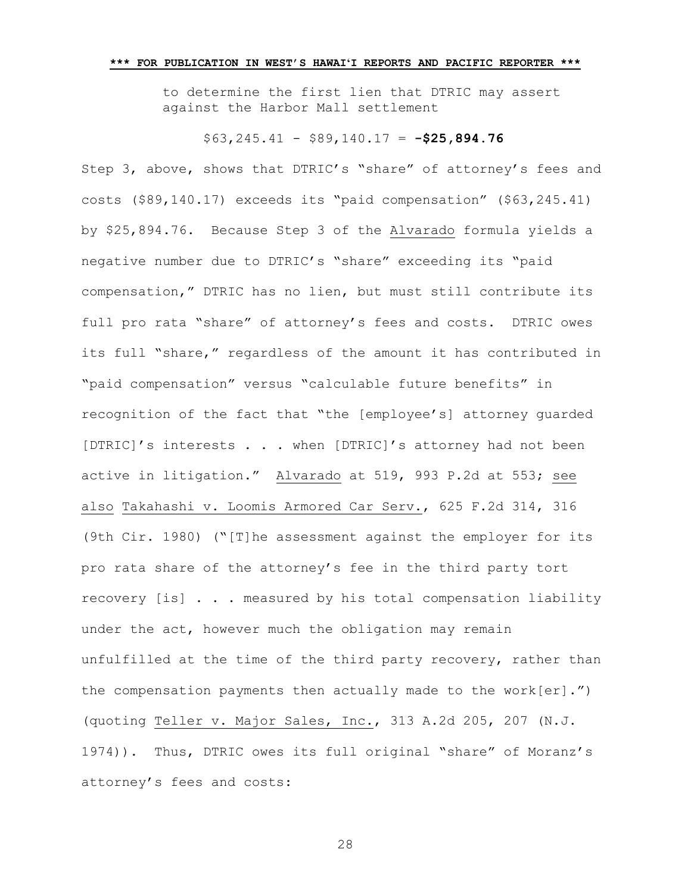to determine the first lien that DTRIC may assert against the Harbor Mall settlement

# \$63,245.41 - \$89,140.17 = **-\$25,894.76**

Step 3, above, shows that DTRIC's "share" of attorney's fees and costs (\$89,140.17) exceeds its "paid compensation" (\$63,245.41) by \$25,894.76. Because Step 3 of the Alvarado formula yields a negative number due to DTRIC's "share" exceeding its "paid compensation," DTRIC has no lien, but must still contribute its full pro rata "share" of attorney's fees and costs. DTRIC owes its full "share," regardless of the amount it has contributed in "paid compensation" versus "calculable future benefits" in recognition of the fact that "the [employee's] attorney guarded [DTRIC]'s interests . . . when [DTRIC]'s attorney had not been active in litigation." Alvarado at 519, 993 P.2d at 553; see also Takahashi v. Loomis Armored Car Serv., 625 F.2d 314, 316 (9th Cir. 1980) ("[T]he assessment against the employer for its pro rata share of the attorney's fee in the third party tort recovery [is] . . . measured by his total compensation liability under the act, however much the obligation may remain unfulfilled at the time of the third party recovery, rather than the compensation payments then actually made to the work[er].") (quoting Teller v. Major Sales, Inc., 313 A.2d 205, 207 (N.J. 1974)). Thus, DTRIC owes its full original "share" of Moranz's attorney's fees and costs: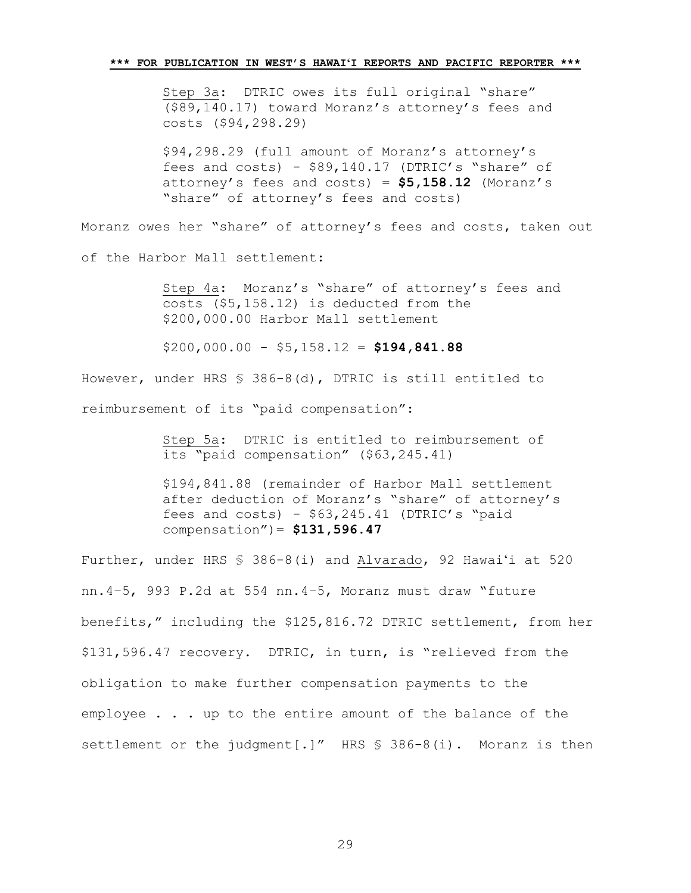Step 3a: DTRIC owes its full original "share" (\$89,140.17) toward Moranz's attorney's fees and costs (\$94,298.29)

\$94,298.29 (full amount of Moranz's attorney's fees and costs) - \$89,140.17 (DTRIC's "share" of attorney's fees and costs) = **\$5,158.12** (Moranz's "share" of attorney's fees and costs)

Moranz owes her "share" of attorney's fees and costs, taken out

of the Harbor Mall settlement:

Step 4a: Moranz's "share" of attorney's fees and costs (\$5,158.12) is deducted from the \$200,000.00 Harbor Mall settlement

\$200,000.00 - \$5,158.12 = **\$194,841.88**

However, under HRS § 386-8(d), DTRIC is still entitled to reimbursement of its "paid compensation":

> Step 5a: DTRIC is entitled to reimbursement of its "paid compensation" (\$63,245.41)

\$194,841.88 (remainder of Harbor Mall settlement after deduction of Moranz's "share" of attorney's fees and costs) -  $$63,245.41$  (DTRIC's "paid compensation")= **\$131,596.47**

Further, under HRS § 386-8(i) and Alvarado, 92 Hawaiʻi at 520 nn.4–5, 993 P.2d at 554 nn.4–5, Moranz must draw "future benefits," including the \$125,816.72 DTRIC settlement, from her \$131,596.47 recovery. DTRIC, in turn, is "relieved from the obligation to make further compensation payments to the employee . . . up to the entire amount of the balance of the settlement or the judgment[.]" HRS \$ 386-8(i). Moranz is then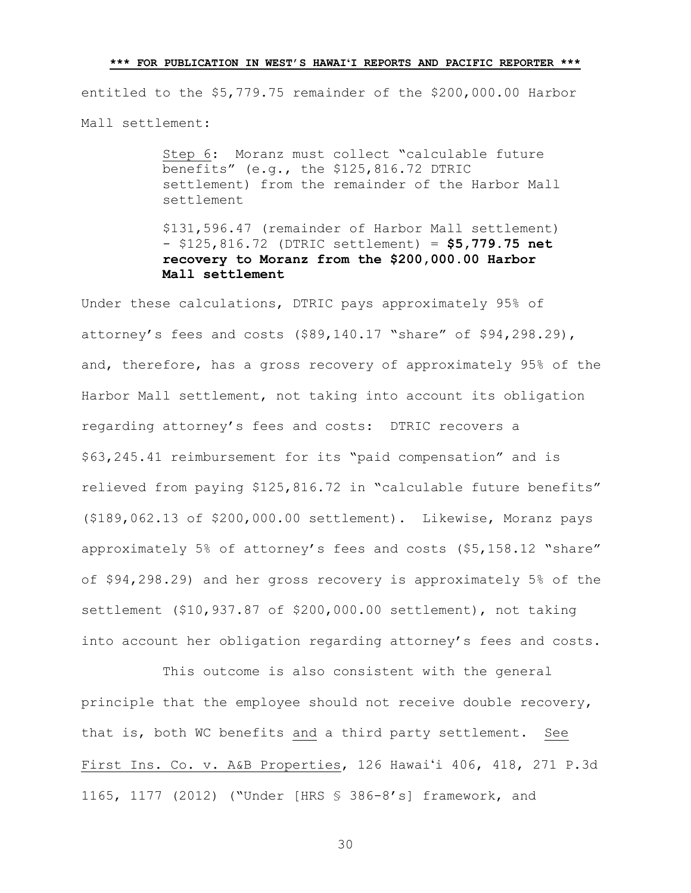entitled to the \$5,779.75 remainder of the \$200,000.00 Harbor Mall settlement:

> Step 6: Moranz must collect "calculable future benefits" (e.g., the \$125,816.72 DTRIC settlement) from the remainder of the Harbor Mall settlement

> \$131,596.47 (remainder of Harbor Mall settlement) - \$125,816.72 (DTRIC settlement) = **\$5,779.75 net recovery to Moranz from the \$200,000.00 Harbor Mall settlement**

Under these calculations, DTRIC pays approximately 95% of attorney's fees and costs (\$89,140.17 "share" of \$94,298.29), and, therefore, has a gross recovery of approximately 95% of the Harbor Mall settlement, not taking into account its obligation regarding attorney's fees and costs: DTRIC recovers a \$63,245.41 reimbursement for its "paid compensation" and is relieved from paying \$125,816.72 in "calculable future benefits" (\$189,062.13 of \$200,000.00 settlement). Likewise, Moranz pays approximately 5% of attorney's fees and costs (\$5,158.12 "share" of \$94,298.29) and her gross recovery is approximately 5% of the settlement (\$10,937.87 of \$200,000.00 settlement), not taking into account her obligation regarding attorney's fees and costs.

This outcome is also consistent with the general principle that the employee should not receive double recovery, that is, both WC benefits and a third party settlement. See First Ins. Co. v. A&B Properties, 126 Hawaiʻi 406, 418, 271 P.3d 1165, 1177 (2012) ("Under [HRS § 386-8's] framework, and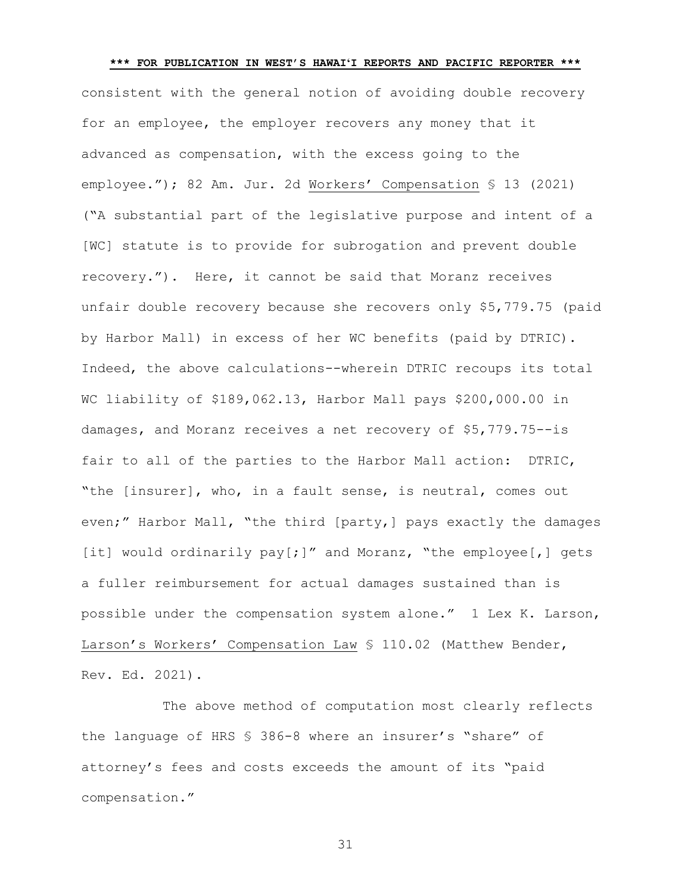**\*\*\* FOR PUBLICATION IN WEST'S HAWAIʻI REPORTS AND PACIFIC REPORTER \*\*\*** consistent with the general notion of avoiding double recovery for an employee, the employer recovers any money that it advanced as compensation, with the excess going to the employee."); 82 Am. Jur. 2d Workers' Compensation § 13 (2021) ("A substantial part of the legislative purpose and intent of a [WC] statute is to provide for subrogation and prevent double recovery."). Here, it cannot be said that Moranz receives unfair double recovery because she recovers only \$5,779.75 (paid by Harbor Mall) in excess of her WC benefits (paid by DTRIC). Indeed, the above calculations--wherein DTRIC recoups its total WC liability of \$189,062.13, Harbor Mall pays \$200,000.00 in damages, and Moranz receives a net recovery of \$5,779.75--is fair to all of the parties to the Harbor Mall action: DTRIC, "the [insurer], who, in a fault sense, is neutral, comes out even;" Harbor Mall, "the third [party,] pays exactly the damages [it] would ordinarily pay[;]" and Moranz, "the employee[,] gets a fuller reimbursement for actual damages sustained than is possible under the compensation system alone." 1 Lex K. Larson, Larson's Workers' Compensation Law § 110.02 (Matthew Bender, Rev. Ed. 2021).

The above method of computation most clearly reflects the language of HRS § 386-8 where an insurer's "share" of attorney's fees and costs exceeds the amount of its "paid compensation."